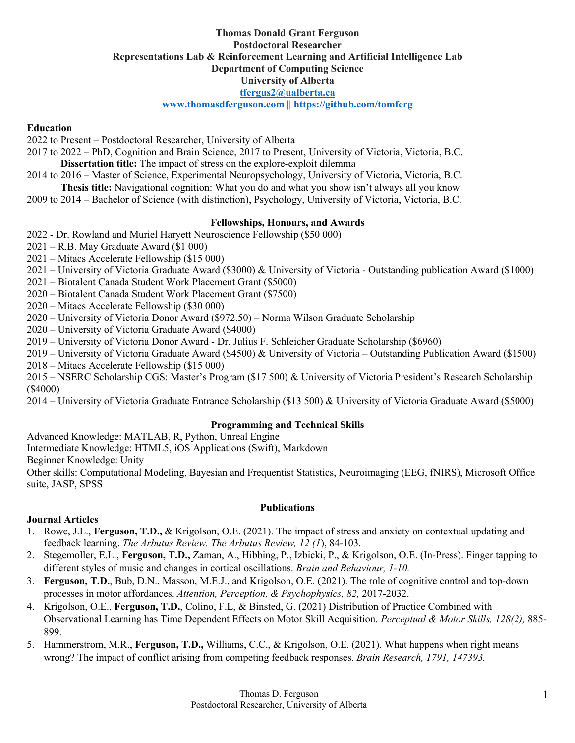### **Thomas Donald Grant Ferguson Postdoctoral Researcher Representations Lab & Reinforcement Learning and Artificial Intelligence Lab Department of Computing Science University of Alberta tfergus2@ualberta.ca www.thomasdferguson.com** || **https://github.com/tomferg**

# **Education**

2022 to Present – Postdoctoral Researcher, University of Alberta

2017 to 2022 – PhD, Cognition and Brain Science, 2017 to Present, University of Victoria, Victoria, B.C. **Dissertation title:** The impact of stress on the explore-exploit dilemma

2014 to 2016 – Master of Science, Experimental Neuropsychology, University of Victoria, Victoria, B.C. **Thesis title:** Navigational cognition: What you do and what you show isn't always all you know

2009 to 2014 – Bachelor of Science (with distinction), Psychology, University of Victoria, Victoria, B.C.

## **Fellowships, Honours, and Awards**

2022 - Dr. Rowland and Muriel Haryett Neuroscience Fellowship (\$50 000)

2021 – R.B. May Graduate Award (\$1 000)

2021 – Mitacs Accelerate Fellowship (\$15 000)

2021 – University of Victoria Graduate Award (\$3000) & University of Victoria - Outstanding publication Award (\$1000)

2021 – Biotalent Canada Student Work Placement Grant (\$5000)

2020 – Biotalent Canada Student Work Placement Grant (\$7500)

2020 – Mitacs Accelerate Fellowship (\$30 000)

2020 – University of Victoria Donor Award (\$972.50) – Norma Wilson Graduate Scholarship

2020 – University of Victoria Graduate Award (\$4000)

2019 – University of Victoria Donor Award - Dr. Julius F. Schleicher Graduate Scholarship (\$6960)

2019 – University of Victoria Graduate Award (\$4500) & University of Victoria – Outstanding Publication Award (\$1500)

2018 – Mitacs Accelerate Fellowship (\$15 000)

2015 – NSERC Scholarship CGS: Master's Program (\$17 500) & University of Victoria President's Research Scholarship (\$4000)

2014 – University of Victoria Graduate Entrance Scholarship (\$13 500) & University of Victoria Graduate Award (\$5000)

### **Programming and Technical Skills**

Advanced Knowledge: MATLAB, R, Python, Unreal Engine

Intermediate Knowledge: HTML5, iOS Applications (Swift), Markdown

Beginner Knowledge: Unity

Other skills: Computational Modeling, Bayesian and Frequentist Statistics, Neuroimaging (EEG, fNIRS), Microsoft Office suite, JASP, SPSS

### **Publications**

# **Journal Articles**

- 1. Rowe, J.L., **Ferguson, T.D.,** & Krigolson, O.E. (2021). The impact of stress and anxiety on contextual updating and feedback learning. *The Arbutus Review. The Arbutus Review, 12 (1*), 84-103.
- 2. Stegemoller, E.L., **Ferguson, T.D.,** Zaman, A., Hibbing, P., Izbicki, P., & Krigolson, O.E. (In-Press). Finger tapping to different styles of music and changes in cortical oscillations. *Brain and Behaviour, 1-10.*
- 3. **Ferguson, T.D.**, Bub, D.N., Masson, M.E.J., and Krigolson, O.E. (2021). The role of cognitive control and top-down processes in motor affordances. *Attention, Perception, & Psychophysics, 82,* 2017-2032.
- 4. Krigolson, O.E., **Ferguson, T.D.**, Colino, F.L, & Binsted, G. (2021) Distribution of Practice Combined with Observational Learning has Time Dependent Effects on Motor Skill Acquisition. *Perceptual & Motor Skills, 128(2),* 885- 899.
- 5. Hammerstrom, M.R., **Ferguson, T.D.,** Williams, C.C., & Krigolson, O.E. (2021). What happens when right means wrong? The impact of conflict arising from competing feedback responses. *Brain Research, 1791, 147393.*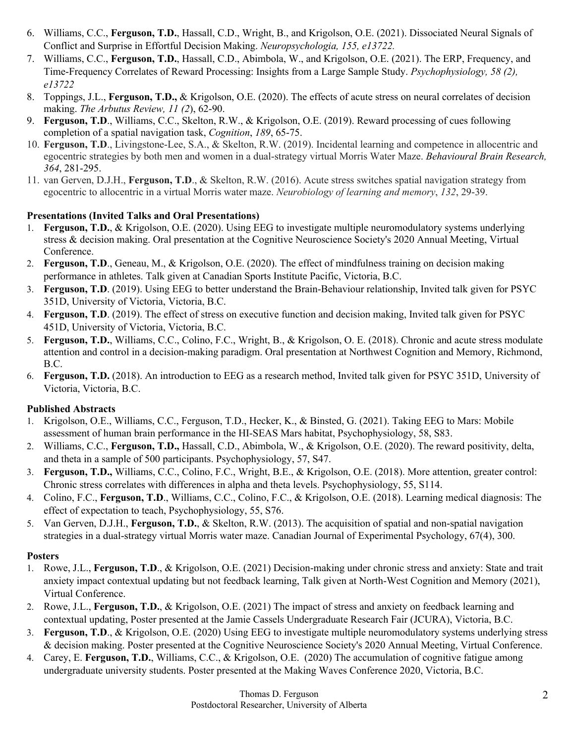- 6. Williams, C.C., **Ferguson, T.D.**, Hassall, C.D., Wright, B., and Krigolson, O.E. (2021). Dissociated Neural Signals of Conflict and Surprise in Effortful Decision Making. *Neuropsychologia, 155, e13722.*
- 7. Williams, C.C., **Ferguson, T.D.**, Hassall, C.D., Abimbola, W., and Krigolson, O.E. (2021). The ERP, Frequency, and Time-Frequency Correlates of Reward Processing: Insights from a Large Sample Study. *Psychophysiology, 58 (2), e13722*
- 8. Toppings, J.L., **Ferguson, T.D.,** & Krigolson, O.E. (2020). The effects of acute stress on neural correlates of decision making. *The Arbutus Review, 11 (2*), 62-90.
- 9. **Ferguson, T.D**., Williams, C.C., Skelton, R.W., & Krigolson, O.E. (2019). Reward processing of cues following completion of a spatial navigation task, *Cognition*, *189*, 65-75.
- 10. **Ferguson, T.D**., Livingstone-Lee, S.A., & Skelton, R.W. (2019). Incidental learning and competence in allocentric and egocentric strategies by both men and women in a dual-strategy virtual Morris Water Maze. *Behavioural Brain Research, 364*, 281-295.
- 11. van Gerven, D.J.H., **Ferguson, T.D**., & Skelton, R.W. (2016). Acute stress switches spatial navigation strategy from egocentric to allocentric in a virtual Morris water maze. *Neurobiology of learning and memory*, *132*, 29-39.

# **Presentations (Invited Talks and Oral Presentations)**

- 1. **Ferguson, T.D.**, & Krigolson, O.E. (2020). Using EEG to investigate multiple neuromodulatory systems underlying stress & decision making. Oral presentation at the Cognitive Neuroscience Society's 2020 Annual Meeting, Virtual Conference.
- 2. **Ferguson, T.D**., Geneau, M., & Krigolson, O.E. (2020). The effect of mindfulness training on decision making performance in athletes. Talk given at Canadian Sports Institute Pacific, Victoria, B.C.
- 3. **Ferguson, T.D**. (2019). Using EEG to better understand the Brain-Behaviour relationship, Invited talk given for PSYC 351D, University of Victoria, Victoria, B.C.
- 4. **Ferguson, T.D**. (2019). The effect of stress on executive function and decision making, Invited talk given for PSYC 451D, University of Victoria, Victoria, B.C.
- 5. **Ferguson, T.D.**, Williams, C.C., Colino, F.C., Wright, B., & Krigolson, O. E. (2018). Chronic and acute stress modulate attention and control in a decision-making paradigm. Oral presentation at Northwest Cognition and Memory, Richmond, B.C.
- 6. **Ferguson, T.D.** (2018). An introduction to EEG as a research method, Invited talk given for PSYC 351D, University of Victoria, Victoria, B.C.

# **Published Abstracts**

- 1. Krigolson, O.E., Williams, C.C., Ferguson, T.D., Hecker, K., & Binsted, G. (2021). Taking EEG to Mars: Mobile assessment of human brain performance in the HI-SEAS Mars habitat, Psychophysiology, 58, S83.
- 2. Williams, C.C., **Ferguson, T.D.,** Hassall, C.D., Abimbola, W., & Krigolson, O.E. (2020). The reward positivity, delta, and theta in a sample of 500 participants. Psychophysiology, 57, S47.
- 3. **Ferguson, T.D.,** Williams, C.C., Colino, F.C., Wright, B.E., & Krigolson, O.E. (2018). More attention, greater control: Chronic stress correlates with differences in alpha and theta levels. Psychophysiology, 55, S114.
- 4. Colino, F.C., **Ferguson, T.D**., Williams, C.C., Colino, F.C., & Krigolson, O.E. (2018). Learning medical diagnosis: The effect of expectation to teach, Psychophysiology, 55, S76.
- 5. Van Gerven, D.J.H., **Ferguson, T.D.**, & Skelton, R.W. (2013). The acquisition of spatial and non-spatial navigation strategies in a dual-strategy virtual Morris water maze. Canadian Journal of Experimental Psychology, 67(4), 300.

# **Posters**

- 1. Rowe, J.L., **Ferguson, T.D**., & Krigolson, O.E. (2021) Decision-making under chronic stress and anxiety: State and trait anxiety impact contextual updating but not feedback learning, Talk given at North-West Cognition and Memory (2021), Virtual Conference.
- 2. Rowe, J.L., **Ferguson, T.D.**, & Krigolson, O.E. (2021) The impact of stress and anxiety on feedback learning and contextual updating, Poster presented at the Jamie Cassels Undergraduate Research Fair (JCURA), Victoria, B.C.
- 3. **Ferguson, T.D**., & Krigolson, O.E. (2020) Using EEG to investigate multiple neuromodulatory systems underlying stress & decision making. Poster presented at the Cognitive Neuroscience Society's 2020 Annual Meeting, Virtual Conference.
- 4. Carey, E. **Ferguson, T.D.**, Williams, C.C., & Krigolson, O.E. (2020) The accumulation of cognitive fatigue among undergraduate university students. Poster presented at the Making Waves Conference 2020, Victoria, B.C.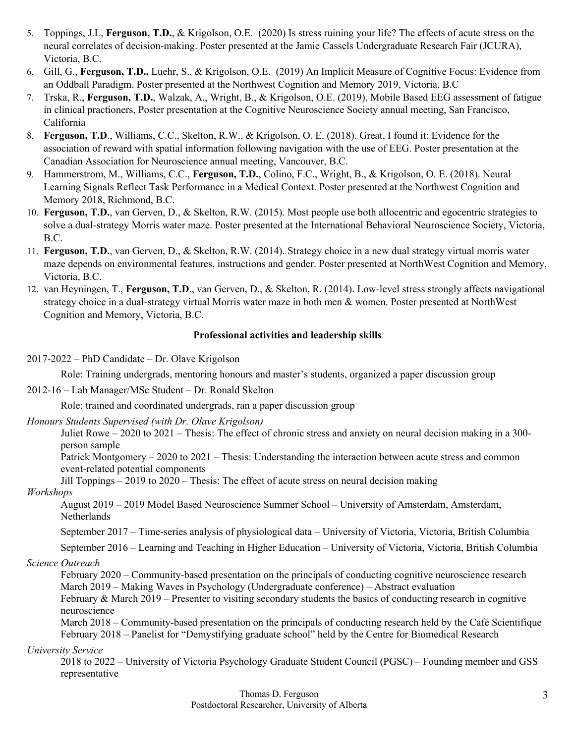- 5. Toppings, J.L, **Ferguson, T.D.**, & Krigolson, O.E. (2020) Is stress ruining your life? The effects of acute stress on the neural correlates of decision-making. Poster presented at the Jamie Cassels Undergraduate Research Fair (JCURA), Victoria, B.C.
- 6. Gill, G., **Ferguson, T.D.,** Luehr, S., & Krigolson, O.E. (2019) An Implicit Measure of Cognitive Focus: Evidence from an Oddball Paradigm. Poster presented at the Northwest Cognition and Memory 2019, Victoria, B.C
- 7. Trska, R., **Ferguson, T.D.**, Walzak, A., Wright, B., & Krigolson, O.E. (2019), Mobile Based EEG assessment of fatigue in clinical practioners, Poster presentation at the Cognitive Neuroscience Society annual meeting, San Francisco, California
- 8. **Ferguson, T.D**., Williams, C.C., Skelton, R.W., & Krigolson, O. E. (2018). Great, I found it: Evidence for the association of reward with spatial information following navigation with the use of EEG. Poster presentation at the Canadian Association for Neuroscience annual meeting, Vancouver, B.C.
- 9. Hammerstrom, M., Williams, C.C., **Ferguson, T.D.**, Colino, F.C., Wright, B., & Krigolson, O. E. (2018). Neural Learning Signals Reflect Task Performance in a Medical Context. Poster presented at the Northwest Cognition and Memory 2018, Richmond, B.C.
- 10. **Ferguson, T.D.**, van Gerven, D., & Skelton, R.W. (2015). Most people use both allocentric and egocentric strategies to solve a dual-strategy Morris water maze. Poster presented at the International Behavioral Neuroscience Society, Victoria, B.C.
- 11. **Ferguson, T.D.**, van Gerven, D., & Skelton, R.W. (2014). Strategy choice in a new dual strategy virtual morris water maze depends on environmental features, instructions and gender. Poster presented at NorthWest Cognition and Memory, Victoria, B.C.
- 12. van Heyningen, T., **Ferguson, T.D**., van Gerven, D., & Skelton, R. (2014). Low-level stress strongly affects navigational strategy choice in a dual-strategy virtual Morris water maze in both men & women. Poster presented at NorthWest Cognition and Memory, Victoria, B.C.

## **Professional activities and leadership skills**

## 2017-2022 – PhD Candidate – Dr. Olave Krigolson

Role: Training undergrads, mentoring honours and master's students, organized a paper discussion group

2012-16 – Lab Manager/MSc Student – Dr. Ronald Skelton

Role: trained and coordinated undergrads, ran a paper discussion group

### *Honours Students Supervised (with Dr. Olave Krigolson)*

Juliet Rowe – 2020 to 2021 – Thesis: The effect of chronic stress and anxiety on neural decision making in a 300 person sample

Patrick Montgomery – 2020 to 2021 – Thesis: Understanding the interaction between acute stress and common event-related potential components

Jill Toppings – 2019 to 2020 – Thesis: The effect of acute stress on neural decision making

### *Workshops*

August 2019 – 2019 Model Based Neuroscience Summer School – University of Amsterdam, Amsterdam, Netherlands

September 2017 – Time-series analysis of physiological data – University of Victoria, Victoria, British Columbia

September 2016 – Learning and Teaching in Higher Education – University of Victoria, Victoria, British Columbia

# *Science Outreach*

February 2020 – Community-based presentation on the principals of conducting cognitive neuroscience research March 2019 – Making Waves in Psychology (Undergraduate conference) – Abstract evaluation February & March 2019 – Presenter to visiting secondary students the basics of conducting research in cognitive neuroscience

March 2018 – Community-based presentation on the principals of conducting research held by the Café Scientifique February 2018 – Panelist for "Demystifying graduate school" held by the Centre for Biomedical Research

# *University Service*

2018 to 2022 – University of Victoria Psychology Graduate Student Council (PGSC) – Founding member and GSS representative